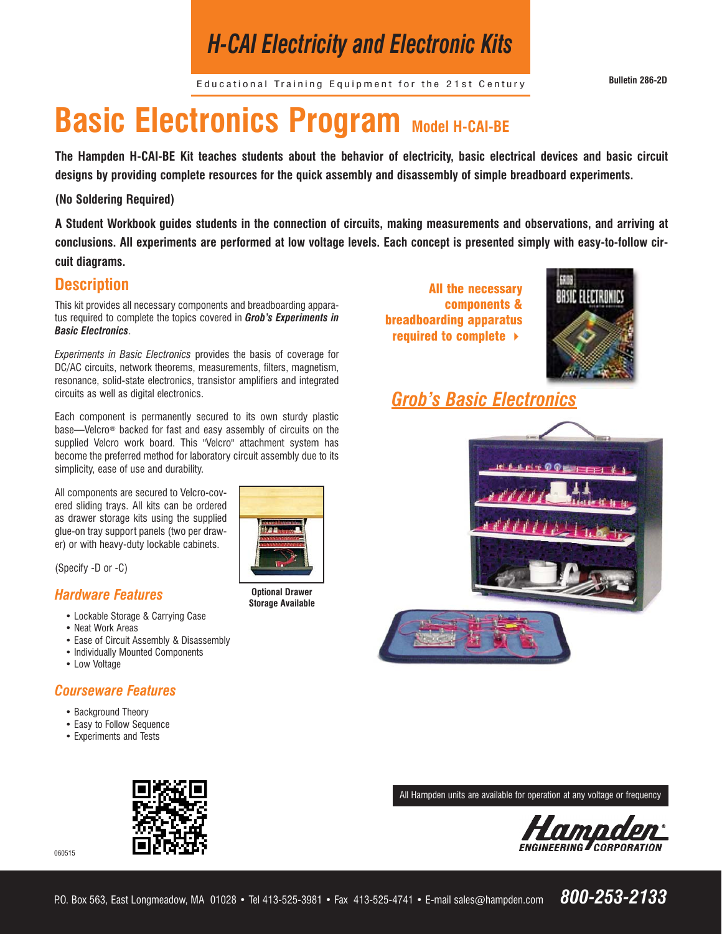## *H-CAI Electricity and Electronic Kits*

Educational Training Equipment for the 21st Century **Bulletin 286-2D**

# **Basic Electronics Program Model H-CAI-BE**

**The Hampden H-CAI-BE Kit teaches students about the behavior of electricity, basic electrical devices and basic circuit designs by providing complete resources for the quick assembly and disassembly of simple breadboard experiments.** 

#### **(No Soldering Required)**

**A Student Workbook guides students in the connection of circuits, making measurements and observations, and arriving at conclusions. All experiments are performed at low voltage levels. Each concept is presented simply with easy-to-follow circuit diagrams.**

#### **Description**

This kit provides all necessary components and breadboarding apparatus required to complete the topics covered in *Grob's Experiments in Basic Electronics*.

*Experiments in Basic Electronics* provides the basis of coverage for DC/AC circuits, network theorems, measurements, filters, magnetism, resonance, solid-state electronics, transistor amplifiers and integrated circuits as well as digital electronics.

Each component is permanently secured to its own sturdy plastic base—Velcro® backed for fast and easy assembly of circuits on the supplied Velcro work board. This "Velcro" attachment system has become the preferred method for laboratory circuit assembly due to its simplicity, ease of use and durability.

All components are secured to Velcro-covered sliding trays. All kits can be ordered as drawer storage kits using the supplied glue-on tray support panels (two per drawer) or with heavy-duty lockable cabinets.

(Specify -D or -C)

#### *Hardware Features*

- Lockable Storage & Carrying Case
- Neat Work Areas
- Ease of Circuit Assembly & Disassembly
- Individually Mounted Components
- Low Voltage

060515

#### *Courseware Features*

- Background Theory
- Easy to Follow Sequence
- Experiments and Tests



**Optional Drawer Storage Available**

All the necessary components & breadboarding apparatus required to complete



### *Grob's Basic Electronics*



All Hampden units are available for operation at any voltage or frequency